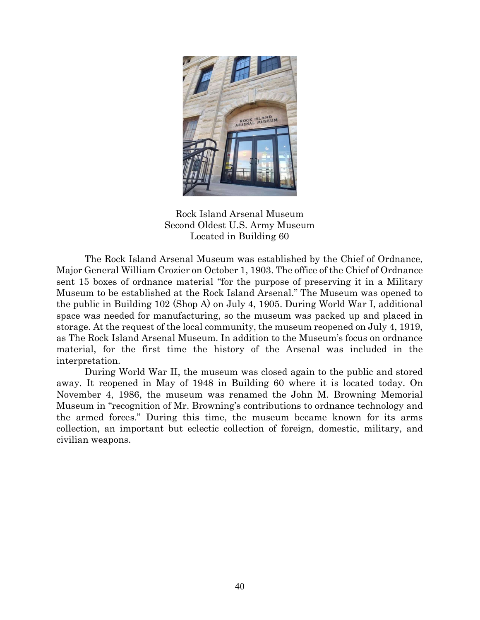

Rock Island Arsenal Museum Second Oldest U.S. Army Museum Located in Building 60

The Rock Island Arsenal Museum was established by the Chief of Ordnance, Major General William Crozier on October 1, 1903. The office of the Chief of Ordnance sent 15 boxes of ordnance material "for the purpose of preserving it in a Military Museum to be established at the Rock Island Arsenal." The Museum was opened to the public in Building 102 (Shop A) on July 4, 1905. During World War I, additional space was needed for manufacturing, so the museum was packed up and placed in storage. At the request of the local community, the museum reopened on July 4, 1919, as The Rock Island Arsenal Museum. In addition to the Museum's focus on ordnance material, for the first time the history of the Arsenal was included in the interpretation.

During World War II, the museum was closed again to the public and stored away. It reopened in May of 1948 in Building 60 where it is located today. On November 4, 1986, the museum was renamed the John M. Browning Memorial Museum in "recognition of Mr. Browning's contributions to ordnance technology and the armed forces." During this time, the museum became known for its arms collection, an important but eclectic collection of foreign, domestic, military, and civilian weapons.